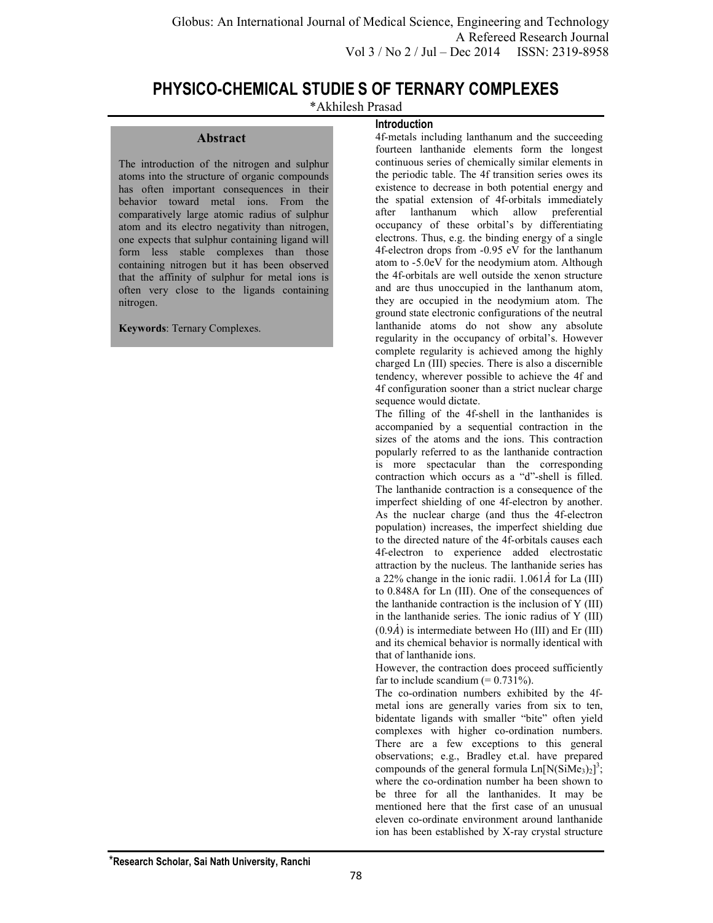## **PHYSICO-CHEMICAL STUDIE S OF TERNARY COMPLEXES**

\*Akhilesh Prasad

## **Abstract**

The introduction of the nitrogen and sulphur atoms into the structure of organic compounds has often important consequences in their behavior toward metal ions. From the comparatively large atomic radius of sulphur atom and its electro negativity than nitrogen, one expects that sulphur containing ligand will form less stable complexes than those containing nitrogen but it has been observed that the affinity of sulphur for metal ions is often very close to the ligands containing nitrogen.

**Keywords**: Ternary Complexes.

## **Introduction**

4f-metals including lanthanum and the succeeding fourteen lanthanide elements form the longest continuous series of chemically similar elements in the periodic table. The 4f transition series owes its existence to decrease in both potential energy and the spatial extension of 4f-orbitals immediately after lanthanum which allow preferential occupancy of these orbital's by differentiating electrons. Thus, e.g. the binding energy of a single 4f-electron drops from -0.95 eV for the lanthanum atom to -5.0eV for the neodymium atom. Although the 4f-orbitals are well outside the xenon structure and are thus unoccupied in the lanthanum atom, they are occupied in the neodymium atom. The ground state electronic configurations of the neutral lanthanide atoms do not show any absolute regularity in the occupancy of orbital's. However complete regularity is achieved among the highly charged Ln (III) species. There is also a discernible tendency, wherever possible to achieve the 4f and 4f configuration sooner than a strict nuclear charge sequence would dictate.

The filling of the 4f-shell in the lanthanides is accompanied by a sequential contraction in the sizes of the atoms and the ions. This contraction popularly referred to as the lanthanide contraction is more spectacular than the corresponding contraction which occurs as a "d"-shell is filled. The lanthanide contraction is a consequence of the imperfect shielding of one 4f-electron by another. As the nuclear charge (and thus the 4f-electron population) increases, the imperfect shielding due to the directed nature of the 4f-orbitals causes each 4f-electron to experience added electrostatic attraction by the nucleus. The lanthanide series has a 22% change in the ionic radii.  $1.061\text{\AA}$  for La (III) to 0.848A for Ln (III). One of the consequences of the lanthanide contraction is the inclusion of Y (III) in the lanthanide series. The ionic radius of  $Y$  (III)  $(0.9\dot{A})$  is intermediate between Ho (III) and Er (III) and its chemical behavior is normally identical with that of lanthanide ions.

However, the contraction does proceed sufficiently far to include scandium  $(= 0.731\%)$ .

The co-ordination numbers exhibited by the 4fmetal ions are generally varies from six to ten, bidentate ligands with smaller "bite" often yield complexes with higher co-ordination numbers. There are a few exceptions to this general observations; e.g., Bradley et.al. have prepared compounds of the general formula  $Ln[N(SiMe<sub>3</sub>)<sub>2</sub>]$ <sup>3</sup>; where the co-ordination number ha been shown to be three for all the lanthanides. It may be mentioned here that the first case of an unusual eleven co-ordinate environment around lanthanide ion has been established by X-ray crystal structure